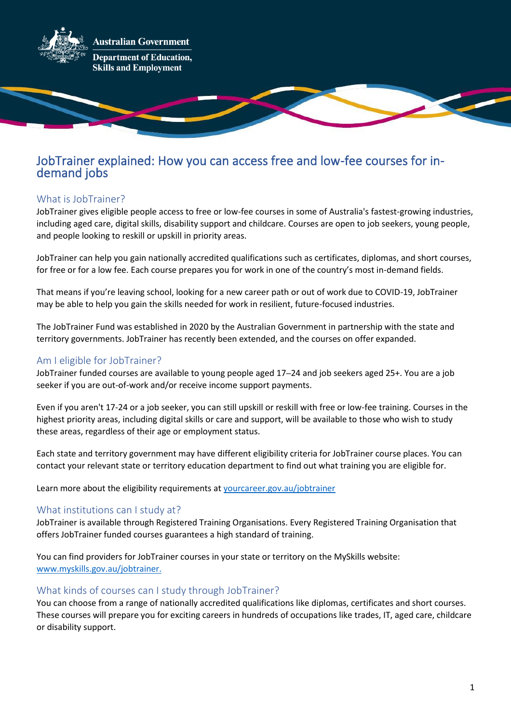

# JobTrainer explained: How you can access free and low-fee courses for indemand jobs

# What is JobTrainer?

JobTrainer gives eligible people access to free or low-fee courses in some of Australia's fastest-growing industries, including aged care, digital skills, disability support and childcare. Courses are open to job seekers, young people, and people looking to reskill or upskill in priority areas.

JobTrainer can help you gain nationally accredited qualifications such as certificates, diplomas, and short courses, for free or for a low fee. Each course prepares you for work in one of the country's most in-demand fields.

That means if you're leaving school, looking for a new career path or out of work due to COVID-19, JobTrainer may be able to help you gain the skills needed for work in resilient, future-focused industries.

The JobTrainer Fund was established in 2020 by the Australian Government in partnership with the state and territory governments. JobTrainer has recently been extended, and the courses on offer expanded.

## Am I eligible for JobTrainer?

JobTrainer funded courses are available to young people aged 17–24 and job seekers aged 25+. You are a job seeker if you are out-of-work and/or receive income support payments.

Even if you aren't 17-24 or a job seeker, you can still upskill or reskill with free or low-fee training. Courses in the highest priority areas, including digital skills or care and support, will be available to those who wish to study these areas, regardless of their age or employment status.

Each state and territory government may have different eligibility criteria for JobTrainer course places. You can contact your relevant state or territory education department to find out what training you are eligible for.

Learn more about the eligibility requirements at [yourcareer.gov.au/jobtrainer](https://www.myskills.gov.au/jobtrainer)

#### What institutions can I study at?

JobTrainer is available through Registered Training Organisations. Every Registered Training Organisation that offers JobTrainer funded courses guarantees a high standard of training.

You can find providers for JobTrainer courses in your state or territory on the MySkills website: [www.myskills.gov.au/jobtrainer.](https://www.myskills.gov.au/jobtrainer)

#### What kinds of courses can I study through JobTrainer?

You can choose from a range of nationally accredited qualifications like diplomas, certificates and short courses. These courses will prepare you for exciting careers in hundreds of occupations like trades, IT, aged care, childcare or disability support.